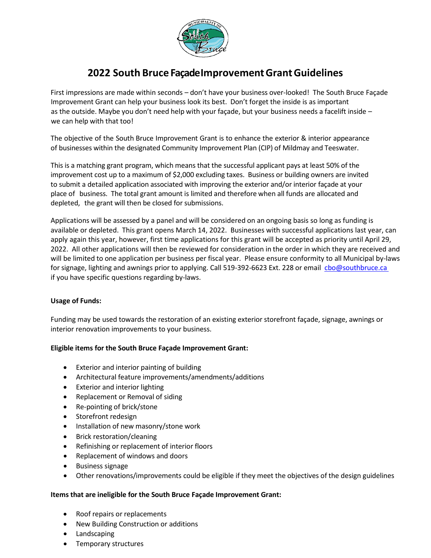

# **2022 South Bruce FaçadeImprovementGrantGuidelines**

First impressions are made within seconds – don't have your business over-looked! The South Bruce Façade Improvement Grant can help your business look its best. Don't forget the inside is as important as the outside. Maybe you don't need help with your façade, but your business needs a facelift inside – we can help with that too!

The objective of the South Bruce Improvement Grant is to enhance the exterior & interior appearance of businesses within the designated Community Improvement Plan (CIP) of Mildmay and Teeswater.

This is a matching grant program, which means that the successful applicant pays at least 50% of the improvement cost up to a maximum of \$2,000 excluding taxes. Business or building owners are invited to submit a detailed application associated with improving the exterior and/or interior façade at your place of business. The total grant amount is limited and therefore when all funds are allocated and depleted, the grant will then be closed for submissions.

Applications will be assessed by a panel and will be considered on an ongoing basis so long as funding is available or depleted. This grant opens March 14, 2022. Businesses with successful applications last year, can apply again this year, however, first time applications for this grant will be accepted as priority until April 29, 2022. All other applications will then be reviewed for consideration in the order in which they are received and will be limited to one application per business per fiscal year. Please ensure conformity to all Municipal by-laws for signage, lighting and awnings prior to applying. Call 519-392-6623 Ext. 228 or email cbo@southbruce.ca if you have specific questions regarding by-laws.

#### **Usage of Funds:**

Funding may be used towards the restoration of an existing exterior storefront façade, signage, awnings or interior renovation improvements to your business.

#### **Eligible items for the South Bruce Façade Improvement Grant:**

- Exterior and interior painting of building
- Architectural feature improvements/amendments/additions
- Exterior and interior lighting
- Replacement or Removal of siding
- Re-pointing of brick/stone
- Storefront redesign
- Installation of new masonry/stone work
- Brick restoration/cleaning
- Refinishing or replacement of interior floors
- Replacement of windows and doors
- Business signage
- Other renovations/improvements could be eligible if they meet the objectives of the design guidelines

#### **Items that are ineligible for the South Bruce Façade Improvement Grant:**

- Roof repairs or replacements
- New Building Construction or additions
- Landscaping
- Temporary structures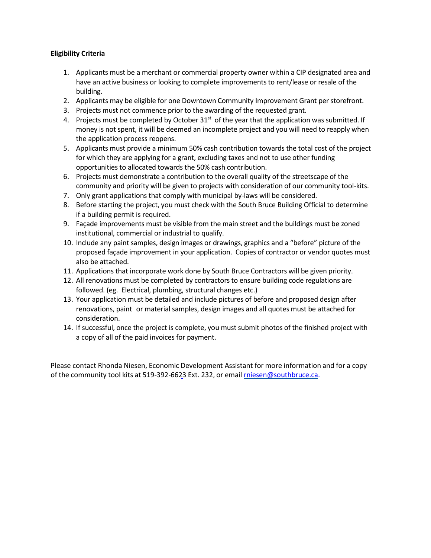#### **Eligibility Criteria**

- 1. Applicants must be a merchant or commercial property owner within a CIP designated area and have an active business or looking to complete improvements to rent/lease or resale of the building.
- 2. Applicants may be eligible for one Downtown Community Improvement Grant per storefront.
- 3. Projects must not commence prior to the awarding of the requested grant.
- 4. Projects must be completed by October 31<sup>st</sup> of the year that the application was submitted. If money is not spent, it will be deemed an incomplete project and you will need to reapply when the application process reopens.
- 5. Applicants must provide a minimum 50% cash contribution towards the total cost of the project for which they are applying for a grant, excluding taxes and not to use other funding opportunities to allocated towards the 50% cash contribution.
- 6. Projects must demonstrate a contribution to the overall quality of the streetscape of the community and priority will be given to projects with consideration of our community tool-kits.
- 7. Only grant applications that comply with municipal by-laws will be considered.
- 8. Before starting the project, you must check with the South Bruce Building Official to determine if a building permit is required.
- 9. Façade improvements must be visible from the main street and the buildings must be zoned institutional, commercial or industrial to qualify.
- 10. Include any paint samples, design images or drawings, graphics and a "before" picture of the proposed façade improvement in your application. Copies of contractor or vendor quotes must also be attached.
- 11. Applications that incorporate work done by South Bruce Contractors will be given priority.
- 12. All renovations must be completed by contractorsto ensure building code regulations are followed. (eg. Electrical, plumbing, structural changes etc.)
- 13. Your application must be detailed and include pictures of before and proposed design after renovations, paint or material samples, design images and all quotes must be attached for consideration.
- 14. If successful, once the project is complete, you must submit photos of the finished project with a copy of all of the paid invoices for payment.

Please contact Rhonda Niesen, Economic Development Assistant for more information and for a copy of the community tool kits at [519-392-6623](mailto:rniesen@southbruce.ca) Ext. 232, or email *rniesen@southbruce.ca*.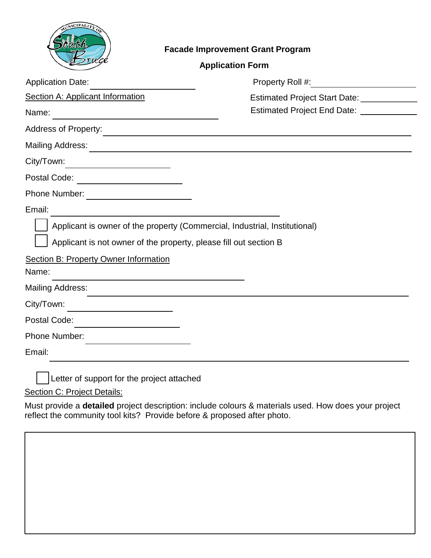

## **Facade Improvement Grant Program**

| <b>Application Date:</b>                                                                                                                                                                                 |                                                                                                                      |
|----------------------------------------------------------------------------------------------------------------------------------------------------------------------------------------------------------|----------------------------------------------------------------------------------------------------------------------|
| Section A: Applicant Information                                                                                                                                                                         | Estimated Project Start Date: ______________                                                                         |
| Name:<br><u> 1989 - Johann Stoff, deutscher Stoffen und der Stoffen und der Stoffen und der Stoffen und der Stoffen und de</u>                                                                           | Estimated Project End Date: _____________                                                                            |
| <b>Address of Property:</b>                                                                                                                                                                              | <u> 1980 - Johann Stein, marwolaethau a bhann an t-Amhain an t-Amhain an t-Amhain an t-Amhain an t-Amhain an t-A</u> |
| <b>Mailing Address:</b><br><u> 1989 - Andrea Andrew Maria (h. 1989).</u>                                                                                                                                 |                                                                                                                      |
| City/Town:                                                                                                                                                                                               |                                                                                                                      |
| Postal Code: __________________________                                                                                                                                                                  |                                                                                                                      |
|                                                                                                                                                                                                          |                                                                                                                      |
| Email:                                                                                                                                                                                                   |                                                                                                                      |
| Applicant is owner of the property (Commercial, Industrial, Institutional)<br>Applicant is not owner of the property, please fill out section B<br><b>Section B: Property Owner Information</b><br>Name: |                                                                                                                      |
| <b>Mailing Address:</b>                                                                                                                                                                                  |                                                                                                                      |
| City/Town:                                                                                                                                                                                               |                                                                                                                      |
| Postal Code:<br><u> 1989 - Johann Barbara, martxa alemaniar a</u>                                                                                                                                        |                                                                                                                      |
| Phone Number:<br>the control of the control of the control of the control of the control of                                                                                                              |                                                                                                                      |
|                                                                                                                                                                                                          |                                                                                                                      |

Section C: Project Details:

Must provide a **detailed** project description: include colours & materials used. How does your project reflect the community tool kits? Provide before & proposed after photo.